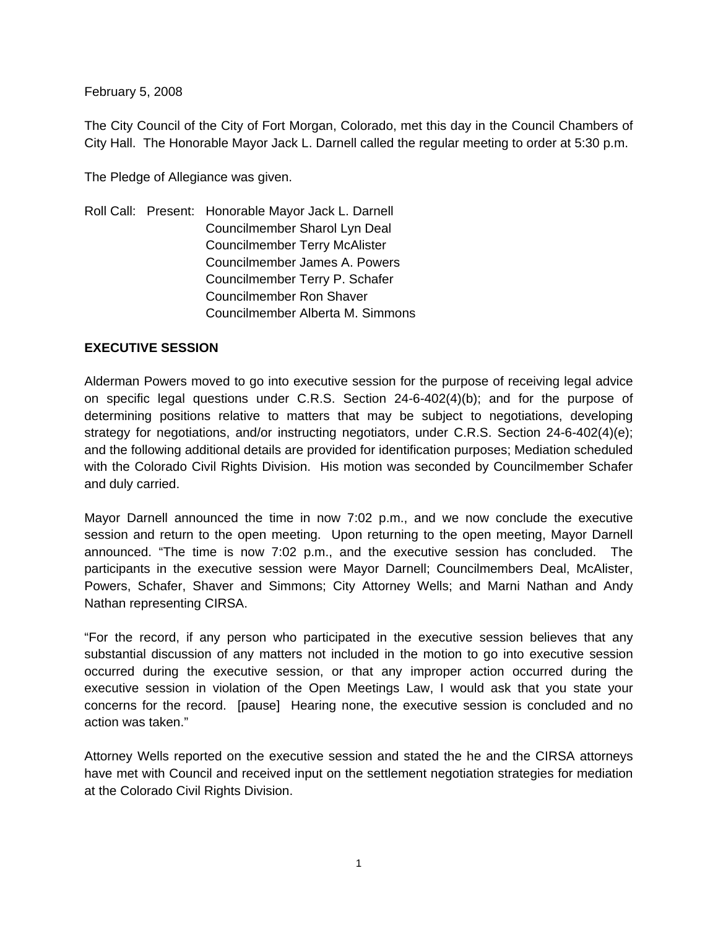February 5, 2008

The City Council of the City of Fort Morgan, Colorado, met this day in the Council Chambers of City Hall. The Honorable Mayor Jack L. Darnell called the regular meeting to order at 5:30 p.m.

The Pledge of Allegiance was given.

Roll Call: Present: Honorable Mayor Jack L. Darnell Councilmember Sharol Lyn Deal Councilmember Terry McAlister Councilmember James A. Powers Councilmember Terry P. Schafer Councilmember Ron Shaver Councilmember Alberta M. Simmons

### **EXECUTIVE SESSION**

Alderman Powers moved to go into executive session for the purpose of receiving legal advice on specific legal questions under C.R.S. Section 24-6-402(4)(b); and for the purpose of determining positions relative to matters that may be subject to negotiations, developing strategy for negotiations, and/or instructing negotiators, under C.R.S. Section 24-6-402(4)(e); and the following additional details are provided for identification purposes; Mediation scheduled with the Colorado Civil Rights Division. His motion was seconded by Councilmember Schafer and duly carried.

Mayor Darnell announced the time in now 7:02 p.m., and we now conclude the executive session and return to the open meeting. Upon returning to the open meeting, Mayor Darnell announced. "The time is now 7:02 p.m., and the executive session has concluded. The participants in the executive session were Mayor Darnell; Councilmembers Deal, McAlister, Powers, Schafer, Shaver and Simmons; City Attorney Wells; and Marni Nathan and Andy Nathan representing CIRSA.

"For the record, if any person who participated in the executive session believes that any substantial discussion of any matters not included in the motion to go into executive session occurred during the executive session, or that any improper action occurred during the executive session in violation of the Open Meetings Law, I would ask that you state your concerns for the record. [pause] Hearing none, the executive session is concluded and no action was taken."

Attorney Wells reported on the executive session and stated the he and the CIRSA attorneys have met with Council and received input on the settlement negotiation strategies for mediation at the Colorado Civil Rights Division.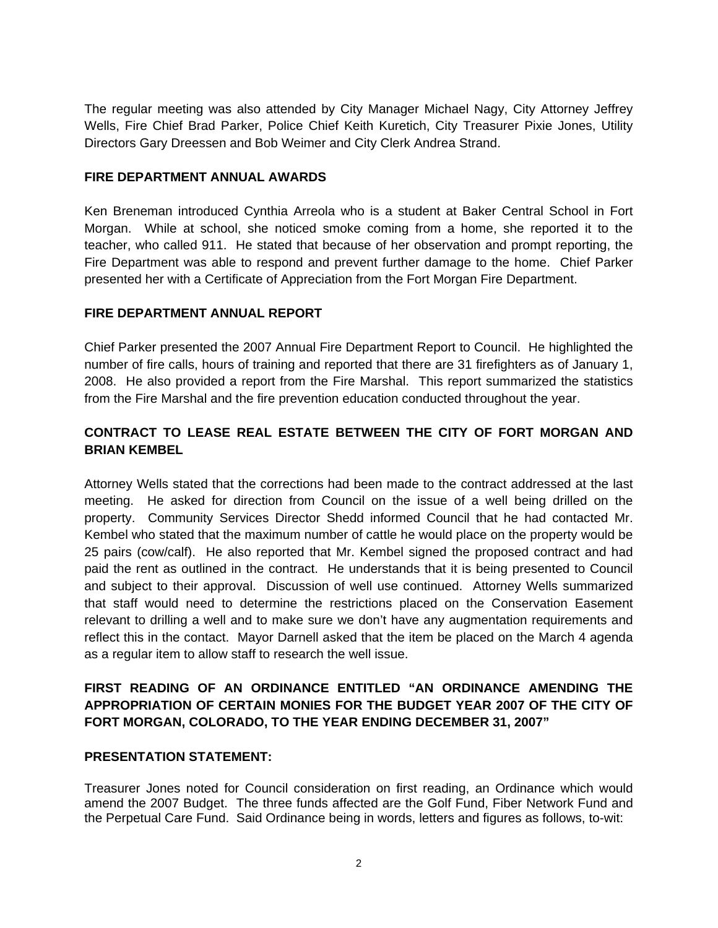The regular meeting was also attended by City Manager Michael Nagy, City Attorney Jeffrey Wells, Fire Chief Brad Parker, Police Chief Keith Kuretich, City Treasurer Pixie Jones, Utility Directors Gary Dreessen and Bob Weimer and City Clerk Andrea Strand.

#### **FIRE DEPARTMENT ANNUAL AWARDS**

Ken Breneman introduced Cynthia Arreola who is a student at Baker Central School in Fort Morgan. While at school, she noticed smoke coming from a home, she reported it to the teacher, who called 911. He stated that because of her observation and prompt reporting, the Fire Department was able to respond and prevent further damage to the home. Chief Parker presented her with a Certificate of Appreciation from the Fort Morgan Fire Department.

### **FIRE DEPARTMENT ANNUAL REPORT**

Chief Parker presented the 2007 Annual Fire Department Report to Council. He highlighted the number of fire calls, hours of training and reported that there are 31 firefighters as of January 1, 2008. He also provided a report from the Fire Marshal. This report summarized the statistics from the Fire Marshal and the fire prevention education conducted throughout the year.

## **CONTRACT TO LEASE REAL ESTATE BETWEEN THE CITY OF FORT MORGAN AND BRIAN KEMBEL**

Attorney Wells stated that the corrections had been made to the contract addressed at the last meeting. He asked for direction from Council on the issue of a well being drilled on the property. Community Services Director Shedd informed Council that he had contacted Mr. Kembel who stated that the maximum number of cattle he would place on the property would be 25 pairs (cow/calf). He also reported that Mr. Kembel signed the proposed contract and had paid the rent as outlined in the contract. He understands that it is being presented to Council and subject to their approval. Discussion of well use continued. Attorney Wells summarized that staff would need to determine the restrictions placed on the Conservation Easement relevant to drilling a well and to make sure we don't have any augmentation requirements and reflect this in the contact. Mayor Darnell asked that the item be placed on the March 4 agenda as a regular item to allow staff to research the well issue.

# **FIRST READING OF AN ORDINANCE ENTITLED "AN ORDINANCE AMENDING THE APPROPRIATION OF CERTAIN MONIES FOR THE BUDGET YEAR 2007 OF THE CITY OF FORT MORGAN, COLORADO, TO THE YEAR ENDING DECEMBER 31, 2007"**

### **PRESENTATION STATEMENT:**

Treasurer Jones noted for Council consideration on first reading, an Ordinance which would amend the 2007 Budget. The three funds affected are the Golf Fund, Fiber Network Fund and the Perpetual Care Fund. Said Ordinance being in words, letters and figures as follows, to-wit: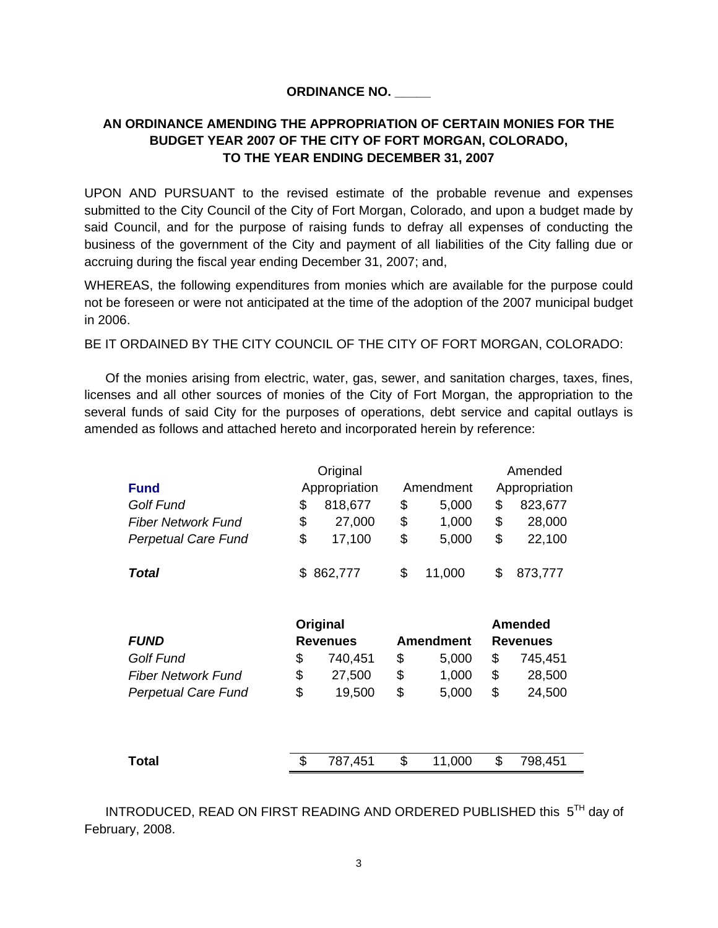#### **ORDINANCE NO. \_\_\_\_\_**

# **AN ORDINANCE AMENDING THE APPROPRIATION OF CERTAIN MONIES FOR THE BUDGET YEAR 2007 OF THE CITY OF FORT MORGAN, COLORADO, TO THE YEAR ENDING DECEMBER 31, 2007**

UPON AND PURSUANT to the revised estimate of the probable revenue and expenses submitted to the City Council of the City of Fort Morgan, Colorado, and upon a budget made by said Council, and for the purpose of raising funds to defray all expenses of conducting the business of the government of the City and payment of all liabilities of the City falling due or accruing during the fiscal year ending December 31, 2007; and,

WHEREAS, the following expenditures from monies which are available for the purpose could not be foreseen or were not anticipated at the time of the adoption of the 2007 municipal budget in 2006.

BE IT ORDAINED BY THE CITY COUNCIL OF THE CITY OF FORT MORGAN, COLORADO:

 Of the monies arising from electric, water, gas, sewer, and sanitation charges, taxes, fines, licenses and all other sources of monies of the City of Fort Morgan, the appropriation to the several funds of said City for the purposes of operations, debt service and capital outlays is amended as follows and attached hereto and incorporated herein by reference:

| <b>Fund</b>                | Original<br>Appropriation |         | Amendment |        | Amended<br>Appropriation |         |
|----------------------------|---------------------------|---------|-----------|--------|--------------------------|---------|
| <b>Golf Fund</b>           |                           | 818,677 | \$        | 5,000  | S                        | 823,677 |
| <b>Fiber Network Fund</b>  | S                         | 27,000  | \$        | 1,000  | \$                       | 28,000  |
| <b>Perpetual Care Fund</b> | \$                        | 17,100  | \$        | 5,000  | \$                       | 22,100  |
| <b>Total</b>               | S.                        | 862,777 | \$        | 11,000 |                          | 873,777 |

|                            | Original        |         |           |        | <b>Amended</b>  |         |  |  |
|----------------------------|-----------------|---------|-----------|--------|-----------------|---------|--|--|
| <i>FUND</i>                | <b>Revenues</b> |         | Amendment |        | <b>Revenues</b> |         |  |  |
| Golf Fund                  | \$              | 740,451 | \$        | 5,000  | \$              | 745,451 |  |  |
| <b>Fiber Network Fund</b>  | \$              | 27,500  | \$        | 1,000  | \$              | 28,500  |  |  |
| <b>Perpetual Care Fund</b> | \$              | 19,500  | \$        | 5,000  | \$              | 24,500  |  |  |
|                            |                 |         |           |        |                 |         |  |  |
| Total                      | \$              | 787,451 | \$        | 11,000 | \$              | 798,451 |  |  |

INTRODUCED, READ ON FIRST READING AND ORDERED PUBLISHED this 5TH day of February, 2008.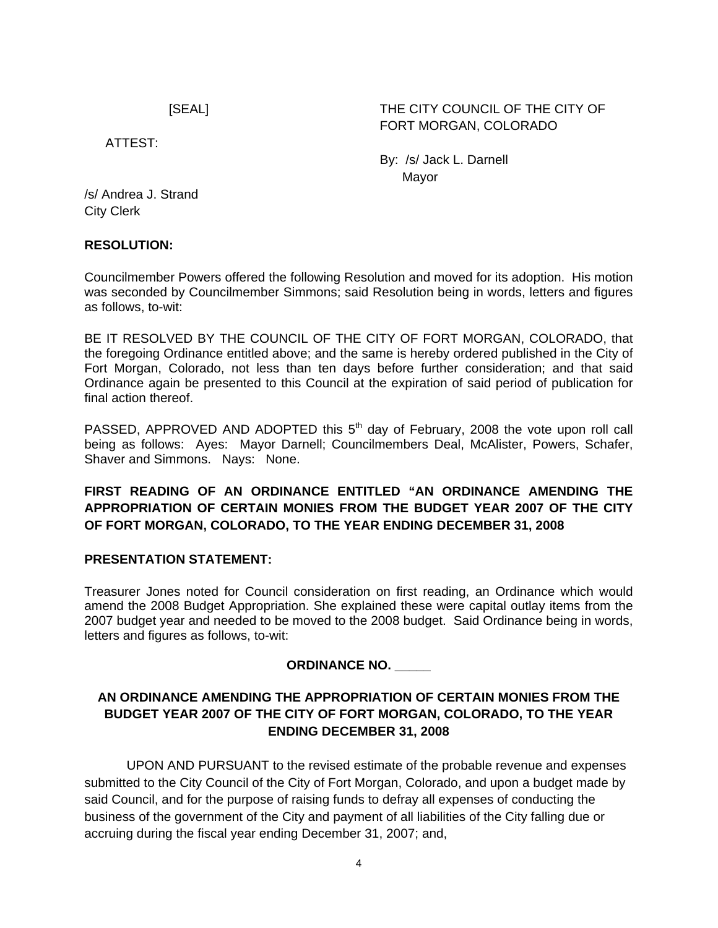# [SEAL] THE CITY COUNCIL OF THE CITY OF FORT MORGAN, COLORADO

ATTEST:

 By: /s/ Jack L. Darnell discussion of the contract of the Mayor Mayor

/s/ Andrea J. Strand City Clerk

### **RESOLUTION:**

Councilmember Powers offered the following Resolution and moved for its adoption. His motion was seconded by Councilmember Simmons; said Resolution being in words, letters and figures as follows, to-wit:

BE IT RESOLVED BY THE COUNCIL OF THE CITY OF FORT MORGAN, COLORADO, that the foregoing Ordinance entitled above; and the same is hereby ordered published in the City of Fort Morgan, Colorado, not less than ten days before further consideration; and that said Ordinance again be presented to this Council at the expiration of said period of publication for final action thereof.

PASSED, APPROVED AND ADOPTED this  $5<sup>th</sup>$  day of February, 2008 the vote upon roll call being as follows: Ayes: Mayor Darnell; Councilmembers Deal, McAlister, Powers, Schafer, Shaver and Simmons. Nays: None.

# **FIRST READING OF AN ORDINANCE ENTITLED "AN ORDINANCE AMENDING THE APPROPRIATION OF CERTAIN MONIES FROM THE BUDGET YEAR 2007 OF THE CITY OF FORT MORGAN, COLORADO, TO THE YEAR ENDING DECEMBER 31, 2008**

### **PRESENTATION STATEMENT:**

Treasurer Jones noted for Council consideration on first reading, an Ordinance which would amend the 2008 Budget Appropriation. She explained these were capital outlay items from the 2007 budget year and needed to be moved to the 2008 budget. Said Ordinance being in words, letters and figures as follows, to-wit:

### **ORDINANCE NO. \_\_\_\_\_**

## **AN ORDINANCE AMENDING THE APPROPRIATION OF CERTAIN MONIES FROM THE BUDGET YEAR 2007 OF THE CITY OF FORT MORGAN, COLORADO, TO THE YEAR ENDING DECEMBER 31, 2008**

UPON AND PURSUANT to the revised estimate of the probable revenue and expenses submitted to the City Council of the City of Fort Morgan, Colorado, and upon a budget made by said Council, and for the purpose of raising funds to defray all expenses of conducting the business of the government of the City and payment of all liabilities of the City falling due or accruing during the fiscal year ending December 31, 2007; and,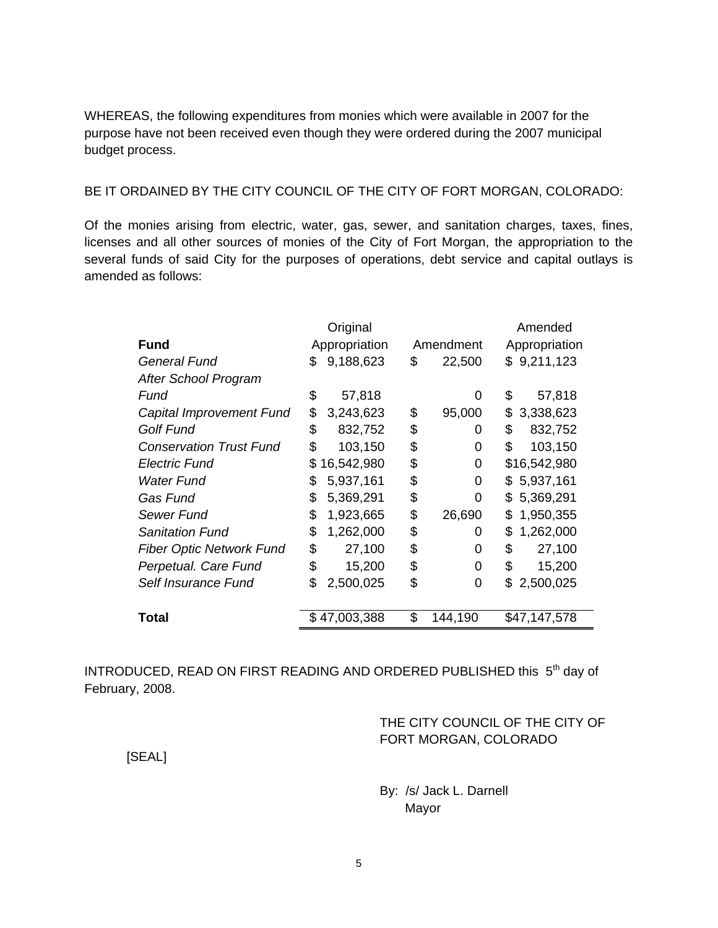WHEREAS, the following expenditures from monies which were available in 2007 for the purpose have not been received even though they were ordered during the 2007 municipal budget process.

#### BE IT ORDAINED BY THE CITY COUNCIL OF THE CITY OF FORT MORGAN, COLORADO:

Of the monies arising from electric, water, gas, sewer, and sanitation charges, taxes, fines, licenses and all other sources of monies of the City of Fort Morgan, the appropriation to the several funds of said City for the purposes of operations, debt service and capital outlays is amended as follows:

|                                 | Original      |              |    | Amended   |                  |  |
|---------------------------------|---------------|--------------|----|-----------|------------------|--|
| Fund                            | Appropriation |              |    | Amendment | Appropriation    |  |
| General Fund                    | S             | 9,188,623    | \$ | 22,500    | \$9,211,123      |  |
| After School Program            |               |              |    |           |                  |  |
| Fund                            | \$            | 57,818       |    | 0         | \$<br>57,818     |  |
| Capital Improvement Fund        | \$            | 3,243,623    | \$ | 95,000    | 3,338,623<br>\$  |  |
| <b>Golf Fund</b>                | \$            | 832,752      | \$ | 0         | \$<br>832,752    |  |
| <b>Conservation Trust Fund</b>  | \$            | 103,150      | \$ | 0         | \$<br>103,150    |  |
| Electric Fund                   | S             | 16,542,980   | \$ | 0         | \$16,542,980     |  |
| Water Fund                      | \$            | 5,937,161    | \$ | 0         | \$5,937,161      |  |
| Gas Fund                        | \$            | 5,369,291    | \$ | 0         | 5,369,291<br>\$. |  |
| Sewer Fund                      | \$            | 1,923,665    | \$ | 26,690    | 1,950,355<br>\$. |  |
| Sanitation Fund                 | \$            | 1,262,000    | \$ | 0         | 1,262,000<br>\$. |  |
| <b>Fiber Optic Network Fund</b> | \$            | 27,100       | \$ | 0         | \$<br>27,100     |  |
| Perpetual. Care Fund            | \$            | 15,200       | \$ | 0         | \$<br>15,200     |  |
| Self Insurance Fund             | \$            | 2,500,025    | \$ | 0         | 2,500,025<br>S   |  |
|                                 |               |              |    |           |                  |  |
| Total                           |               | \$47,003,388 | \$ | 144,190   | \$47,147,578     |  |

INTRODUCED, READ ON FIRST READING AND ORDERED PUBLISHED this 5<sup>th</sup> day of February, 2008.

### THE CITY COUNCIL OF THE CITY OF FORT MORGAN, COLORADO

[SEAL]

 By: /s/ Jack L. Darnell Mayor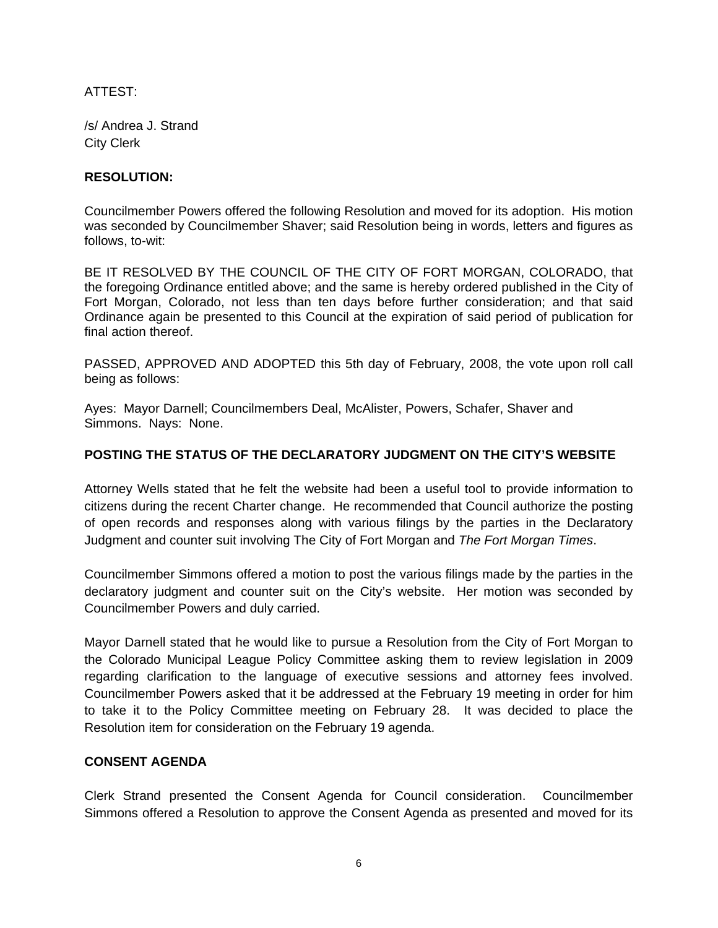ATTEST:

/s/ Andrea J. Strand City Clerk

#### **RESOLUTION:**

Councilmember Powers offered the following Resolution and moved for its adoption. His motion was seconded by Councilmember Shaver; said Resolution being in words, letters and figures as follows, to-wit:

BE IT RESOLVED BY THE COUNCIL OF THE CITY OF FORT MORGAN, COLORADO, that the foregoing Ordinance entitled above; and the same is hereby ordered published in the City of Fort Morgan, Colorado, not less than ten days before further consideration; and that said Ordinance again be presented to this Council at the expiration of said period of publication for final action thereof.

PASSED, APPROVED AND ADOPTED this 5th day of February, 2008, the vote upon roll call being as follows:

Ayes: Mayor Darnell; Councilmembers Deal, McAlister, Powers, Schafer, Shaver and Simmons. Nays: None.

### **POSTING THE STATUS OF THE DECLARATORY JUDGMENT ON THE CITY'S WEBSITE**

Attorney Wells stated that he felt the website had been a useful tool to provide information to citizens during the recent Charter change. He recommended that Council authorize the posting of open records and responses along with various filings by the parties in the Declaratory Judgment and counter suit involving The City of Fort Morgan and *The Fort Morgan Times*.

Councilmember Simmons offered a motion to post the various filings made by the parties in the declaratory judgment and counter suit on the City's website. Her motion was seconded by Councilmember Powers and duly carried.

Mayor Darnell stated that he would like to pursue a Resolution from the City of Fort Morgan to the Colorado Municipal League Policy Committee asking them to review legislation in 2009 regarding clarification to the language of executive sessions and attorney fees involved. Councilmember Powers asked that it be addressed at the February 19 meeting in order for him to take it to the Policy Committee meeting on February 28. It was decided to place the Resolution item for consideration on the February 19 agenda.

#### **CONSENT AGENDA**

Clerk Strand presented the Consent Agenda for Council consideration. Councilmember Simmons offered a Resolution to approve the Consent Agenda as presented and moved for its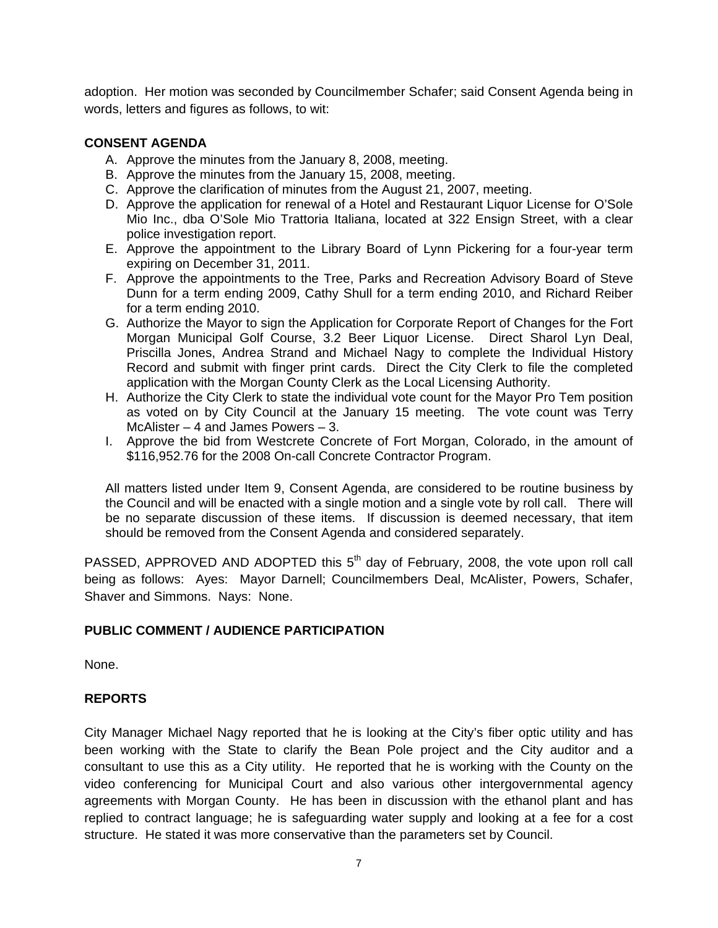adoption. Her motion was seconded by Councilmember Schafer; said Consent Agenda being in words, letters and figures as follows, to wit:

#### **CONSENT AGENDA**

- A. Approve the minutes from the January 8, 2008, meeting.
- B. Approve the minutes from the January 15, 2008, meeting.
- C. Approve the clarification of minutes from the August 21, 2007, meeting.
- D. Approve the application for renewal of a Hotel and Restaurant Liquor License for O'Sole Mio Inc., dba O'Sole Mio Trattoria Italiana, located at 322 Ensign Street, with a clear police investigation report.
- E. Approve the appointment to the Library Board of Lynn Pickering for a four-year term expiring on December 31, 2011.
- F. Approve the appointments to the Tree, Parks and Recreation Advisory Board of Steve Dunn for a term ending 2009, Cathy Shull for a term ending 2010, and Richard Reiber for a term ending 2010.
- G. Authorize the Mayor to sign the Application for Corporate Report of Changes for the Fort Morgan Municipal Golf Course, 3.2 Beer Liquor License. Direct Sharol Lyn Deal, Priscilla Jones, Andrea Strand and Michael Nagy to complete the Individual History Record and submit with finger print cards. Direct the City Clerk to file the completed application with the Morgan County Clerk as the Local Licensing Authority.
- H. Authorize the City Clerk to state the individual vote count for the Mayor Pro Tem position as voted on by City Council at the January 15 meeting. The vote count was Terry McAlister – 4 and James Powers – 3.
- I. Approve the bid from Westcrete Concrete of Fort Morgan, Colorado, in the amount of \$116,952.76 for the 2008 On-call Concrete Contractor Program.

All matters listed under Item 9, Consent Agenda, are considered to be routine business by the Council and will be enacted with a single motion and a single vote by roll call. There will be no separate discussion of these items. If discussion is deemed necessary, that item should be removed from the Consent Agenda and considered separately.

PASSED, APPROVED AND ADOPTED this  $5<sup>th</sup>$  day of February, 2008, the vote upon roll call being as follows: Ayes: Mayor Darnell; Councilmembers Deal, McAlister, Powers, Schafer, Shaver and Simmons. Nays: None.

### **PUBLIC COMMENT / AUDIENCE PARTICIPATION**

None.

### **REPORTS**

City Manager Michael Nagy reported that he is looking at the City's fiber optic utility and has been working with the State to clarify the Bean Pole project and the City auditor and a consultant to use this as a City utility. He reported that he is working with the County on the video conferencing for Municipal Court and also various other intergovernmental agency agreements with Morgan County. He has been in discussion with the ethanol plant and has replied to contract language; he is safeguarding water supply and looking at a fee for a cost structure. He stated it was more conservative than the parameters set by Council.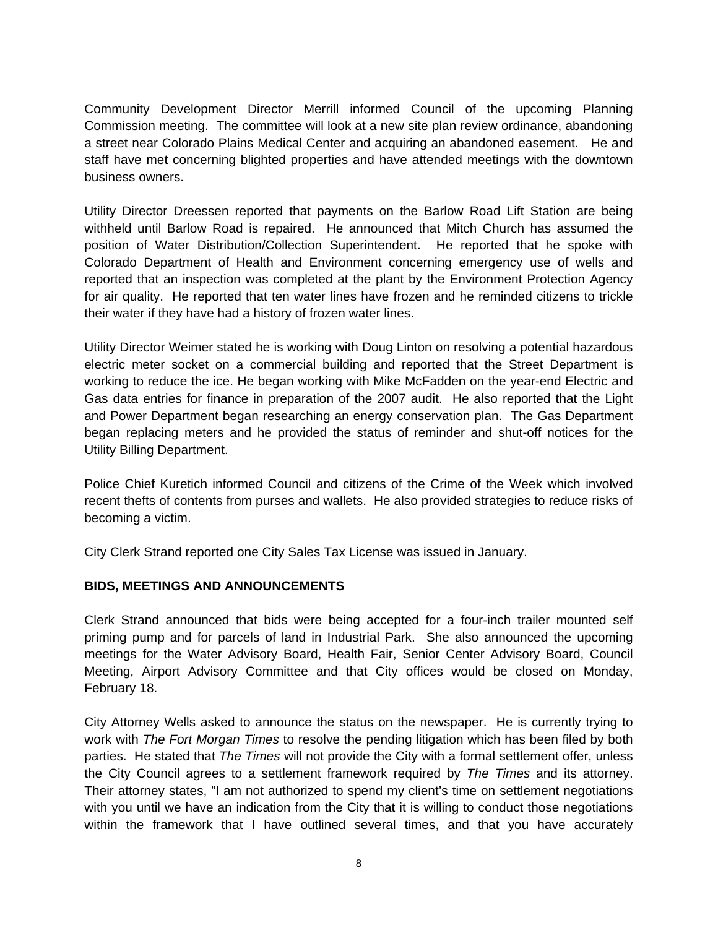Community Development Director Merrill informed Council of the upcoming Planning Commission meeting. The committee will look at a new site plan review ordinance, abandoning a street near Colorado Plains Medical Center and acquiring an abandoned easement. He and staff have met concerning blighted properties and have attended meetings with the downtown business owners.

Utility Director Dreessen reported that payments on the Barlow Road Lift Station are being withheld until Barlow Road is repaired. He announced that Mitch Church has assumed the position of Water Distribution/Collection Superintendent. He reported that he spoke with Colorado Department of Health and Environment concerning emergency use of wells and reported that an inspection was completed at the plant by the Environment Protection Agency for air quality. He reported that ten water lines have frozen and he reminded citizens to trickle their water if they have had a history of frozen water lines.

Utility Director Weimer stated he is working with Doug Linton on resolving a potential hazardous electric meter socket on a commercial building and reported that the Street Department is working to reduce the ice. He began working with Mike McFadden on the year-end Electric and Gas data entries for finance in preparation of the 2007 audit. He also reported that the Light and Power Department began researching an energy conservation plan. The Gas Department began replacing meters and he provided the status of reminder and shut-off notices for the Utility Billing Department.

Police Chief Kuretich informed Council and citizens of the Crime of the Week which involved recent thefts of contents from purses and wallets. He also provided strategies to reduce risks of becoming a victim.

City Clerk Strand reported one City Sales Tax License was issued in January.

# **BIDS, MEETINGS AND ANNOUNCEMENTS**

Clerk Strand announced that bids were being accepted for a four-inch trailer mounted self priming pump and for parcels of land in Industrial Park. She also announced the upcoming meetings for the Water Advisory Board, Health Fair, Senior Center Advisory Board, Council Meeting, Airport Advisory Committee and that City offices would be closed on Monday, February 18.

City Attorney Wells asked to announce the status on the newspaper. He is currently trying to work with *The Fort Morgan Times* to resolve the pending litigation which has been filed by both parties. He stated that *The Times* will not provide the City with a formal settlement offer, unless the City Council agrees to a settlement framework required by *The Times* and its attorney. Their attorney states, "I am not authorized to spend my client's time on settlement negotiations with you until we have an indication from the City that it is willing to conduct those negotiations within the framework that I have outlined several times, and that you have accurately